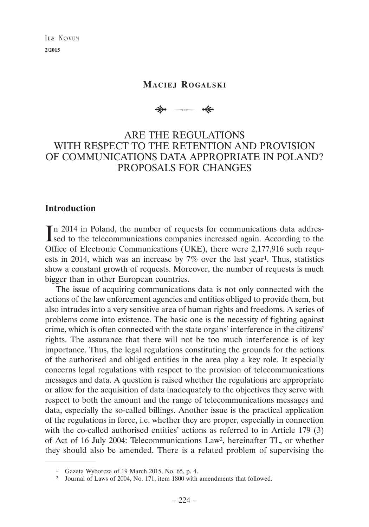| IUS | Noviim |
|-----|--------|
|-----|--------|

### **MACIEJ ROGALSKI**

# $\Rightarrow$ --- «

# ARE THE REGULATIONS WITH RESPECT TO THE RETENTION AND PROVISION OF COMMUNICATIONS DATA APPROPRIATE IN POLAND? PROPOSALS FOR CHANGES

#### **Introduction**

In 2014 in Poland, the number of requests for communications data addressed to the telecommunications companies increased again. According to the **L**sed to the telecommunications companies increased again. According to the Office of Electronic Communications (UKE), there were 2,177,916 such requests in 2014, which was an increase by  $7\%$  over the last year<sup>1</sup>. Thus, statistics show a constant growth of requests. Moreover, the number of requests is much bigger than in other European countries.

The issue of acquiring communications data is not only connected with the actions of the law enforcement agencies and entities obliged to provide them, but also intrudes into a very sensitive area of human rights and freedoms. A series of problems come into existence. The basic one is the necessity of fighting against crime, which is often connected with the state organs' interference in the citizens' rights. The assurance that there will not be too much interference is of key importance. Thus, the legal regulations constituting the grounds for the actions of the authorised and obliged entities in the area play a key role. It especially concerns legal regulations with respect to the provision of telecommunications messages and data. A question is raised whether the regulations are appropriate or allow for the acquisition of data inadequately to the objectives they serve with respect to both the amount and the range of telecommunications messages and data, especially the so-called billings. Another issue is the practical application of the regulations in force, i.e. whether they are proper, especially in connection with the co-called authorised entities' actions as referred to in Article 179 (3) of Act of 16 July 2004: Telecommunications Law2, hereinafter TL, or whether they should also be amended. There is a related problem of supervising the

<sup>1</sup> Gazeta Wyborcza of 19 March 2015, No. 65, p. 4.

<sup>2</sup> Journal of Laws of 2004, No. 171, item 1800 with amendments that followed.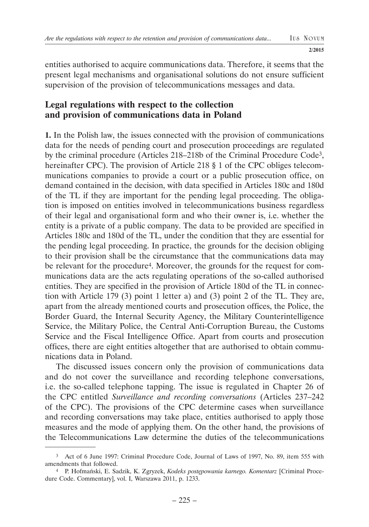entities authorised to acquire communications data. Therefore, it seems that the present legal mechanisms and organisational solutions do not ensure sufficient supervision of the provision of telecommunications messages and data.

## **Legal regulations with respect to the collection and provision of communications data in Poland**

**1.** In the Polish law, the issues connected with the provision of communications data for the needs of pending court and prosecution proceedings are regulated by the criminal procedure (Articles 218–218b of the Criminal Procedure Code3, hereinafter CPC). The provision of Article 218 § 1 of the CPC obliges telecommunications companies to provide a court or a public prosecution office, on demand contained in the decision, with data specified in Articles 180c and 180d of the TL if they are important for the pending legal proceeding. The obligation is imposed on entities involved in telecommunications business regardless of their legal and organisational form and who their owner is, i.e. whether the entity is a private of a public company. The data to be provided are specified in Articles 180c and 180d of the TL, under the condition that they are essential for the pending legal proceeding. In practice, the grounds for the decision obliging to their provision shall be the circumstance that the communications data may be relevant for the procedure<sup>4</sup>. Moreover, the grounds for the request for communications data are the acts regulating operations of the so-called authorised entities. They are specified in the provision of Article 180d of the TL in connection with Article 179 (3) point 1 letter a) and (3) point 2 of the TL. They are, apart from the already mentioned courts and prosecution offices, the Police, the Border Guard, the Internal Security Agency, the Military Counterintelligence Service, the Military Police, the Central Anti-Corruption Bureau, the Customs Service and the Fiscal Intelligence Office. Apart from courts and prosecution offices, there are eight entities altogether that are authorised to obtain communications data in Poland.

The discussed issues concern only the provision of communications data and do not cover the surveillance and recording telephone conversations, i.e. the so-called telephone tapping. The issue is regulated in Chapter 26 of the CPC entitled *Surveillance and recording conversations* (Articles 237–242 of the CPC). The provisions of the CPC determine cases when surveillance and recording conversations may take place, entities authorised to apply those measures and the mode of applying them. On the other hand, the provisions of the Telecommunications Law determine the duties of the telecommunications

<sup>3</sup> Act of 6 June 1997: Criminal Procedure Code, Journal of Laws of 1997, No. 89, item 555 with amendments that followed. 4 P. Hofmański, E. Sadzik, K. Zgryzek, *Kodeks postępowania karnego. Komentarz* [Criminal Proce-

dure Code. Commentary], vol. I, Warszawa 2011, p. 1233.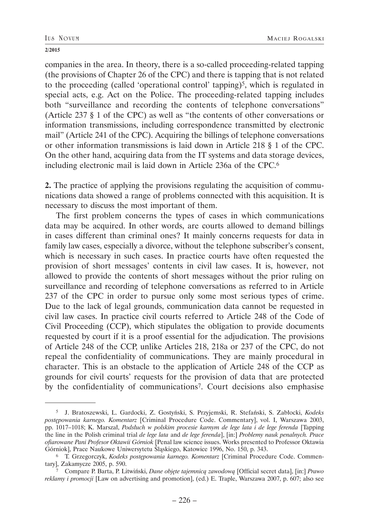companies in the area. In theory, there is a so-called proceeding-related tapping (the provisions of Chapter 26 of the CPC) and there is tapping that is not related to the proceeding (called 'operational control' tapping)5, which is regulated in special acts, e.g. Act on the Police. The proceeding-related tapping includes both "surveillance and recording the contents of telephone conversations" (Article 237 § 1 of the CPC) as well as "the contents of other conversations or information transmissions, including correspondence transmitted by electronic mail" (Article 241 of the CPC). Acquiring the billings of telephone conversations or other information transmissions is laid down in Article 218 § 1 of the CPC. On the other hand, acquiring data from the IT systems and data storage devices, including electronic mail is laid down in Article 236a of the CPC.6

**2.** The practice of applying the provisions regulating the acquisition of communications data showed a range of problems connected with this acquisition. It is necessary to discuss the most important of them.

The first problem concerns the types of cases in which communications data may be acquired. In other words, are courts allowed to demand billings in cases different than criminal ones? It mainly concerns requests for data in family law cases, especially a divorce, without the telephone subscriber's consent, which is necessary in such cases. In practice courts have often requested the provision of short messages' contents in civil law cases. It is, however, not allowed to provide the contents of short messages without the prior ruling on surveillance and recording of telephone conversations as referred to in Article 237 of the CPC in order to pursue only some most serious types of crime. Due to the lack of legal grounds, communication data cannot be requested in civil law cases. In practice civil courts referred to Article 248 of the Code of Civil Proceeding (CCP), which stipulates the obligation to provide documents requested by court if it is a proof essential for the adjudication. The provisions of Article 248 of the CCP, unlike Articles 218, 218a or 237 of the CPC, do not repeal the confidentiality of communications. They are mainly procedural in character. This is an obstacle to the application of Article 248 of the CCP as grounds for civil courts' requests for the provision of data that are protected by the confidentiality of communications7. Court decisions also emphasise

<sup>5</sup> J. Bratoszewski, L. Gardocki, Z. Gostyński, S. Przyjemski, R. Stefański, S. Zabłocki, *Kodeks postępowania karnego. Komentarz* [Criminal Procedure Code. Commentary], vol. I, Warszawa 2003, pp. 1017–1018; K. Marszał, *Podsłuch w polskim procesie karnym de lege lata i de lege ferenda* [Tapping the line in the Polish criminal trial *de lege lata* and *de lege ferenda*], [in:] *Problemy nauk penalnych. Prace ofiarowane Pani Profesor Oktawii Górniok* [Penal law science issues. Works presented to Professor Oktawia Górniok], Prace Naukowe Uniwersytetu Śląskiego, Katowice 1996, No. 150, p. 343.

<sup>6</sup> T. Grzegorczyk, *Kodeks postępowania karnego. Komentarz* [Criminal Procedure Code. Commentary], Zakamycze 2005, p. 590.

<sup>7</sup> Compare P. Barta, P. Litwiński, *Dane objęte tajemnicą zawodową* [Official secret data], [in:] *Prawo reklamy i promocji* [Law on advertising and promotion], (ed.) E. Traple, Warszawa 2007, p. 607; also see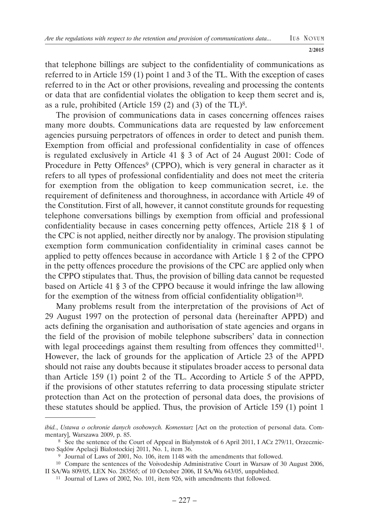that telephone billings are subject to the confidentiality of communications as referred to in Article 159 (1) point 1 and 3 of the TL. With the exception of cases referred to in the Act or other provisions, revealing and processing the contents or data that are confidential violates the obligation to keep them secret and is, as a rule, prohibited (Article 159 (2) and (3) of the TL $)$ <sup>8</sup>.

The provision of communications data in cases concerning offences raises many more doubts. Communications data are requested by law enforcement agencies pursuing perpetrators of offences in order to detect and punish them. Exemption from official and professional confidentiality in case of offences is regulated exclusively in Article 41 § 3 of Act of 24 August 2001: Code of Procedure in Petty Offences<sup>9</sup> (CPPO), which is very general in character as it refers to all types of professional confidentiality and does not meet the criteria for exemption from the obligation to keep communication secret, i.e. the requirement of definiteness and thoroughness, in accordance with Article 49 of the Constitution. First of all, however, it cannot constitute grounds for requesting telephone conversations billings by exemption from official and professional confidentiality because in cases concerning petty offences, Article 218 § 1 of the CPC is not applied, neither directly nor by analogy. The provision stipulating exemption form communication confidentiality in criminal cases cannot be applied to petty offences because in accordance with Article 1 § 2 of the CPPO in the petty offences procedure the provisions of the CPC are applied only when the CPPO stipulates that. Thus, the provision of billing data cannot be requested based on Article 41 § 3 of the CPPO because it would infringe the law allowing for the exemption of the witness from official confidentiality obligation<sup>10</sup>.

Many problems result from the interpretation of the provisions of Act of 29 August 1997 on the protection of personal data (hereinafter APPD) and acts defining the organisation and authorisation of state agencies and organs in the field of the provision of mobile telephone subscribers' data in connection with legal proceedings against them resulting from offences they committed<sup>11</sup>. However, the lack of grounds for the application of Article 23 of the APPD should not raise any doubts because it stipulates broader access to personal data than Article 159 (1) point 2 of the TL. According to Article 5 of the APPD, if the provisions of other statutes referring to data processing stipulate stricter protection than Act on the protection of personal data does, the provisions of these statutes should be applied. Thus, the provision of Article 159 (1) point 1

*ibid.*, *Ustawa o ochronie danych osobowych. Komentarz* [Act on the protection of personal data. Com-

<sup>&</sup>lt;sup>8</sup> See the sentence of the Court of Appeal in Białymstok of 6 April 2011, I ACz 279/11, Orzecznictwo Sadów Apelacji Białostockiej 2011, No. 1, item 36.

<sup>&</sup>lt;sup>9</sup> Journal of Laws of 2001, No. 106, item 1148 with the amendments that followed.

<sup>&</sup>lt;sup>10</sup> Compare the sentences of the Voivodeship Administrative Court in Warsaw of 30 August 2006, II SA/Wa 809/05, LEX No. 283565; of 10 October 2006, II SA/Wa 643/05, unpublished.

<sup>11</sup> Journal of Laws of 2002, No. 101, item 926, with amendments that followed.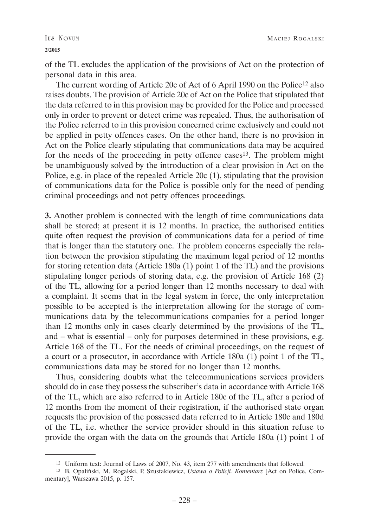of the TL excludes the application of the provisions of Act on the protection of personal data in this area.

The current wording of Article 20c of Act of 6 April 1990 on the Police<sup>12</sup> also raises doubts. The provision of Article 20c of Act on the Police that stipulated that the data referred to in this provision may be provided for the Police and processed only in order to prevent or detect crime was repealed. Thus, the authorisation of the Police referred to in this provision concerned crime exclusively and could not be applied in petty offences cases. On the other hand, there is no provision in Act on the Police clearly stipulating that communications data may be acquired for the needs of the proceeding in petty offence cases<sup>13</sup>. The problem might be unambiguously solved by the introduction of a clear provision in Act on the Police, e.g. in place of the repealed Article 20c (1), stipulating that the provision of communications data for the Police is possible only for the need of pending criminal proceedings and not petty offences proceedings.

**3.** Another problem is connected with the length of time communications data shall be stored; at present it is 12 months. In practice, the authorised entities quite often request the provision of communications data for a period of time that is longer than the statutory one. The problem concerns especially the relation between the provision stipulating the maximum legal period of 12 months for storing retention data (Article 180a (1) point 1 of the TL) and the provisions stipulating longer periods of storing data, e.g. the provision of Article 168 (2) of the TL, allowing for a period longer than 12 months necessary to deal with a complaint. It seems that in the legal system in force, the only interpretation possible to be accepted is the interpretation allowing for the storage of communications data by the telecommunications companies for a period longer than 12 months only in cases clearly determined by the provisions of the TL, and – what is essential – only for purposes determined in these provisions, e.g. Article 168 of the TL. For the needs of criminal proceedings, on the request of a court or a prosecutor, in accordance with Article 180a (1) point 1 of the TL, communications data may be stored for no longer than 12 months.

Thus, considering doubts what the telecommunications services providers should do in case they possess the subscriber's data in accordance with Article 168 of the TL, which are also referred to in Article 180c of the TL, after a period of 12 months from the moment of their registration, if the authorised state organ requests the provision of the possessed data referred to in Article 180c and 180d of the TL, i.e. whether the service provider should in this situation refuse to provide the organ with the data on the grounds that Article 180a (1) point 1 of

<sup>12</sup> Uniform text: Journal of Laws of 2007, No. 43, item 277 with amendments that followed.

<sup>13</sup> B. Opaliński, M. Rogalski, P. Szustakiewicz, *Ustawa o Policji. Komentarz* [Act on Police. Commentary], Warszawa 2015, p. 157.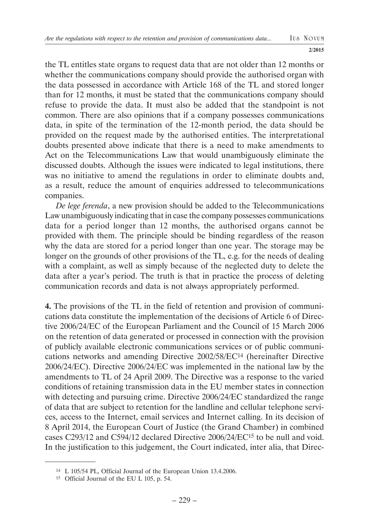**I US NOVUM**

**2/2015**

the TL entitles state organs to request data that are not older than 12 months or whether the communications company should provide the authorised organ with the data possessed in accordance with Article 168 of the TL and stored longer than for 12 months, it must be stated that the communications company should refuse to provide the data. It must also be added that the standpoint is not common. There are also opinions that if a company possesses communications data, in spite of the termination of the 12-month period, the data should be provided on the request made by the authorised entities. The interpretational doubts presented above indicate that there is a need to make amendments to Act on the Telecommunications Law that would unambiguously eliminate the discussed doubts. Although the issues were indicated to legal institutions, there was no initiative to amend the regulations in order to eliminate doubts and, as a result, reduce the amount of enquiries addressed to telecommunications companies.

*De lege ferenda*, a new provision should be added to the Telecommunications Law unambiguously indicating that in case the company possesses communications data for a period longer than 12 months, the authorised organs cannot be provided with them. The principle should be binding regardless of the reason why the data are stored for a period longer than one year. The storage may be longer on the grounds of other provisions of the TL, e.g. for the needs of dealing with a complaint, as well as simply because of the neglected duty to delete the data after a year's period. The truth is that in practice the process of deleting communication records and data is not always appropriately performed.

**4.** The provisions of the TL in the field of retention and provision of communications data constitute the implementation of the decisions of Article 6 of Directive 2006/24/EC of the European Parliament and the Council of 15 March 2006 on the retention of data generated or processed in connection with the provision of publicly available electronic communications services or of public communications networks and amending Directive 2002/58/EC14 (hereinafter Directive 2006/24/EC). Directive 2006/24/EC was implemented in the national law by the amendments to TL of 24 April 2009. The Directive was a response to the varied conditions of retaining transmission data in the EU member states in connection with detecting and pursuing crime. Directive 2006/24/EC standardized the range of data that are subject to retention for the landline and cellular telephone services, access to the Internet, email services and Internet calling. In its decision of 8 April 2014, the European Court of Justice (the Grand Chamber) in combined cases C293/12 and C594/12 declared Directive 2006/24/EC15 to be null and void. In the justification to this judgement, the Court indicated, inter alia, that Direc-

<sup>14</sup> L 105/54 PL, Official Journal of the European Union 13.4.2006.

<sup>15</sup> Official Journal of the EU L 105, p. 54.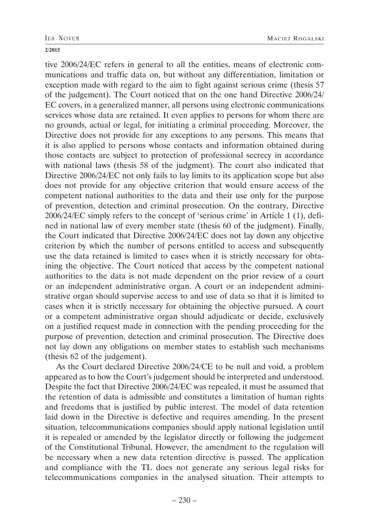tive 2006/24/EC refers in general to all the entities, means of electronic communications and traffic data on, but without any differentiation, limitation or exception made with regard to the aim to fight against serious crime (thesis 57 of the judgement). The Court noticed that on the one hand Directive 2006/24/ EC covers, in a generalized manner, all persons using electronic communications services whose data are retained. It even applies to persons for whom there are no grounds, actual or legal, for initiating a criminal proceeding. Moreover, the Directive does not provide for any exceptions to any persons. This means that it is also applied to persons whose contacts and information obtained during those contacts are subject to protection of professional secrecy in accordance with national laws (thesis 58 of the judgment). The court also indicated that Directive 2006/24/EC not only fails to lay limits to its application scope but also does not provide for any objective criterion that would ensure access of the competent national authorities to the data and their use only for the purpose of prevention, detection and criminal prosecution. On the contrary, Directive 2006/24/EC simply refers to the concept of 'serious crime' in Article 1 (1), defined in national law of every member state (thesis 60 of the judgment). Finally, the Court indicated that Directive 2006/24/EC does not lay down any objective criterion by which the number of persons entitled to access and subsequently use the data retained is limited to cases when it is strictly necessary for obtaining the objective. The Court noticed that access by the competent national authorities to the data is not made dependent on the prior review of a court or an independent administrative organ. A court or an independent administrative organ should supervise access to and use of data so that it is limited to cases when it is strictly necessary for obtaining the objective pursued. A court or a competent administrative organ should adjudicate or decide, exclusively on a justified request made in connection with the pending proceeding for the purpose of prevention, detection and criminal prosecution. The Directive does not lay down any obligations on member states to establish such mechanisms (thesis 62 of the judgement).

As the Court declared Directive 2006/24/CE to be null and void, a problem appeared as to how the Court's judgement should be interpreted and understood. Despite the fact that Directive 2006/24/EC was repealed, it must be assumed that the retention of data is admissible and constitutes a limitation of human rights and freedoms that is justified by public interest. The model of data retention laid down in the Directive is defective and requires amending. In the present situation, telecommunications companies should apply national legislation until it is repealed or amended by the legislator directly or following the judgement of the Constitutional Tribunal. However, the amendment to the regulation will be necessary when a new data retention directive is passed. The application and compliance with the TL does not generate any serious legal risks for telecommunications companies in the analysed situation. Their attempts to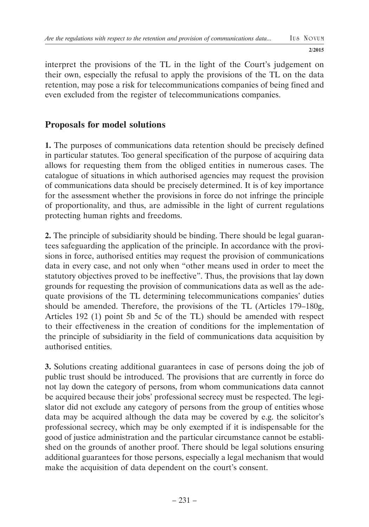interpret the provisions of the TL in the light of the Court's judgement on their own, especially the refusal to apply the provisions of the TL on the data retention, may pose a risk for telecommunications companies of being fined and even excluded from the register of telecommunications companies.

### **Proposals for model solutions**

**1.** The purposes of communications data retention should be precisely defined in particular statutes. Too general specification of the purpose of acquiring data allows for requesting them from the obliged entities in numerous cases. The catalogue of situations in which authorised agencies may request the provision of communications data should be precisely determined. It is of key importance for the assessment whether the provisions in force do not infringe the principle of proportionality, and thus, are admissible in the light of current regulations protecting human rights and freedoms.

**2.** The principle of subsidiarity should be binding. There should be legal guarantees safeguarding the application of the principle. In accordance with the provisions in force, authorised entities may request the provision of communications data in every case, and not only when "other means used in order to meet the statutory objectives proved to be ineffective". Thus, the provisions that lay down grounds for requesting the provision of communications data as well as the adequate provisions of the TL determining telecommunications companies' duties should be amended. Therefore, the provisions of the TL (Articles 179–180g, Articles 192 (1) point 5b and 5c of the TL) should be amended with respect to their effectiveness in the creation of conditions for the implementation of the principle of subsidiarity in the field of communications data acquisition by authorised entities.

**3.** Solutions creating additional guarantees in case of persons doing the job of public trust should be introduced. The provisions that are currently in force do not lay down the category of persons, from whom communications data cannot be acquired because their jobs' professional secrecy must be respected. The legislator did not exclude any category of persons from the group of entities whose data may be acquired although the data may be covered by e.g. the solicitor's professional secrecy, which may be only exempted if it is indispensable for the good of justice administration and the particular circumstance cannot be established on the grounds of another proof. There should be legal solutions ensuring additional guarantees for those persons, especially a legal mechanism that would make the acquisition of data dependent on the court's consent.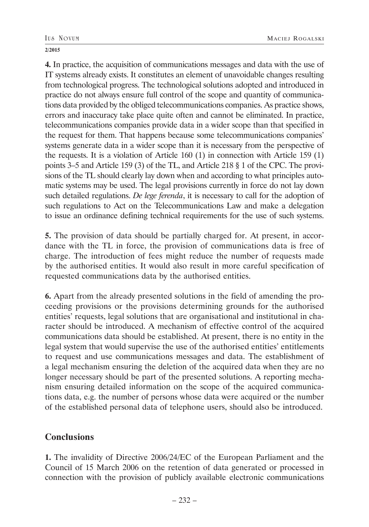**4.** In practice, the acquisition of communications messages and data with the use of IT systems already exists. It constitutes an element of unavoidable changes resulting from technological progress. The technological solutions adopted and introduced in practice do not always ensure full control of the scope and quantity of communications data provided by the obliged telecommunications companies. As practice shows, errors and inaccuracy take place quite often and cannot be eliminated. In practice, telecommunications companies provide data in a wider scope than that specified in the request for them. That happens because some telecommunications companies' systems generate data in a wider scope than it is necessary from the perspective of the requests. It is a violation of Article 160 (1) in connection with Article 159 (1) points 3–5 and Article 159 (3) of the TL, and Article 218 § 1 of the CPC. The provisions of the TL should clearly lay down when and according to what principles automatic systems may be used. The legal provisions currently in force do not lay down such detailed regulations. *De lege ferenda*, it is necessary to call for the adoption of such regulations to Act on the Telecommunications Law and make a delegation to issue an ordinance defining technical requirements for the use of such systems.

**5.** The provision of data should be partially charged for. At present, in accordance with the TL in force, the provision of communications data is free of charge. The introduction of fees might reduce the number of requests made by the authorised entities. It would also result in more careful specification of requested communications data by the authorised entities.

**6.** Apart from the already presented solutions in the field of amending the proceeding provisions or the provisions determining grounds for the authorised entities' requests, legal solutions that are organisational and institutional in character should be introduced. A mechanism of effective control of the acquired communications data should be established. At present, there is no entity in the legal system that would supervise the use of the authorised entities' entitlements to request and use communications messages and data. The establishment of a legal mechanism ensuring the deletion of the acquired data when they are no longer necessary should be part of the presented solutions. A reporting mechanism ensuring detailed information on the scope of the acquired communications data, e.g. the number of persons whose data were acquired or the number of the established personal data of telephone users, should also be introduced.

### **Conclusions**

**1.** The invalidity of Directive 2006/24/EC of the European Parliament and the Council of 15 March 2006 on the retention of data generated or processed in connection with the provision of publicly available electronic communications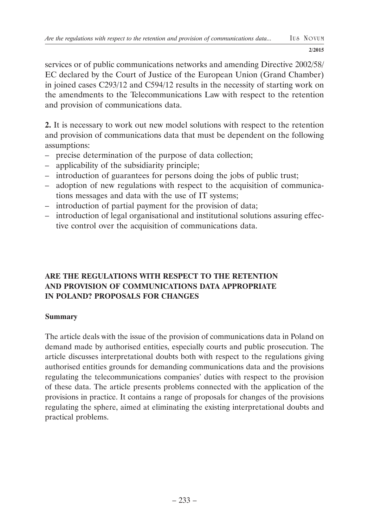services or of public communications networks and amending Directive 2002/58/ EC declared by the Court of Justice of the European Union (Grand Chamber) in joined cases C293/12 and C594/12 results in the necessity of starting work on the amendments to the Telecommunications Law with respect to the retention and provision of communications data.

**2.** It is necessary to work out new model solutions with respect to the retention and provision of communications data that must be dependent on the following assumptions:

- precise determination of the purpose of data collection;
- applicability of the subsidiarity principle;
- introduction of guarantees for persons doing the jobs of public trust;
- adoption of new regulations with respect to the acquisition of communications messages and data with the use of IT systems;
- introduction of partial payment for the provision of data;
- introduction of legal organisational and institutional solutions assuring effective control over the acquisition of communications data.

### **ARE THE REGULA TIONS WITH RESPECT TO THE RETENTION AND PROVISION OF COMMUNICATIONS DATA APPROPRIATE IN POLAND? PROPOSALS FOR CHANGES**

### **Summary**

The article deals with the issue of the provision of communications data in Poland on demand made by authorised entities, especially courts and public prosecution. The article discusses interpretational doubts both with respect to the regulations giving authorised entities grounds for demanding communications data and the provisions regulating the telecommunications companies' duties with respect to the provision of these data. The article presents problems connected with the application of the provisions in practice. It contains a range of proposals for changes of the provisions regulating the sphere, aimed at eliminating the existing interpretational doubts and practical problems.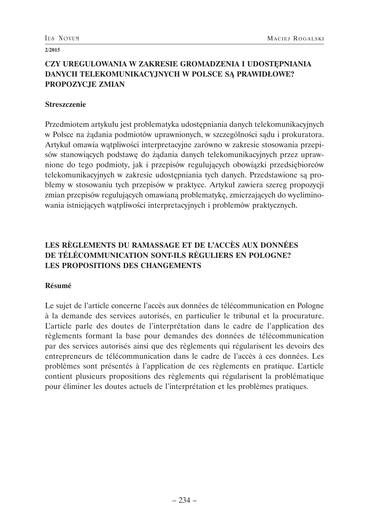### **CZY UREGULOWANIA W ZAKRESIE GROMADZENIA I UDOSTĘPNIANIA DANYCH TELEKOMUNIKACYJNYCH W POLSCE SĄ PRAWIDŁOWE? PROPOZYCJE ZMIAN**

#### **Streszczenie**

Przedmiotem artykułu jest problematyka udostępniania danych telekomunikacyjnych w Polsce na żądania podmiotów uprawnionych, w szczególności sądu i prokuratora. Artykuł omawia wątpliwości interpretacyjne zarówno w zakresie stosowania przepisów stanowiących podstawę do żądania danych telekomunikacyjnych przez uprawnione do tego podmioty, jak i przepisów regulujących obowiązki przedsiębiorców telekomunikacyjnych w zakresie udostępniania tych danych. Przedstawione są problemy w stosowaniu tych przepisów w praktyce. Artykuł zawiera szereg propozycji zmian przepisów regulujących omawianą problematykę, zmierzających do wyeliminowania istniejących wątpliwości interpretacyjnych i problemów praktycznych.

#### **LES RÈGLEMENTS DU RAMASSAGE ET DE L'ACCÈS AUX DONNÉES DE TÉLÉCOMMUNICATION SONT-ILS RÉGULIERS EN POLOGNE? LES PROPOSITIONS DES CHANGEMENTS**

#### **Résumé**

Le sujet de l'article concerne l'accès aux données de télécommunication en Pologne à la demande des services autorisés, en particulier le tribunal et la procurature. L'article parle des doutes de l'interprétation dans le cadre de l'application des règlements formant la base pour demandes des données de télécommunication par des services autorisés ainsi que des règlements qui régularisent les devoirs des entrepreneurs de télécommunication dans le cadre de l'accès à ces données. Les problèmes sont présentés à l'application de ces règlements en pratique. L'article contient plusieurs propositions des règlements qui régularisent la problématique pour éliminer les doutes actuels de l'interprétation et les problèmes pratiques.